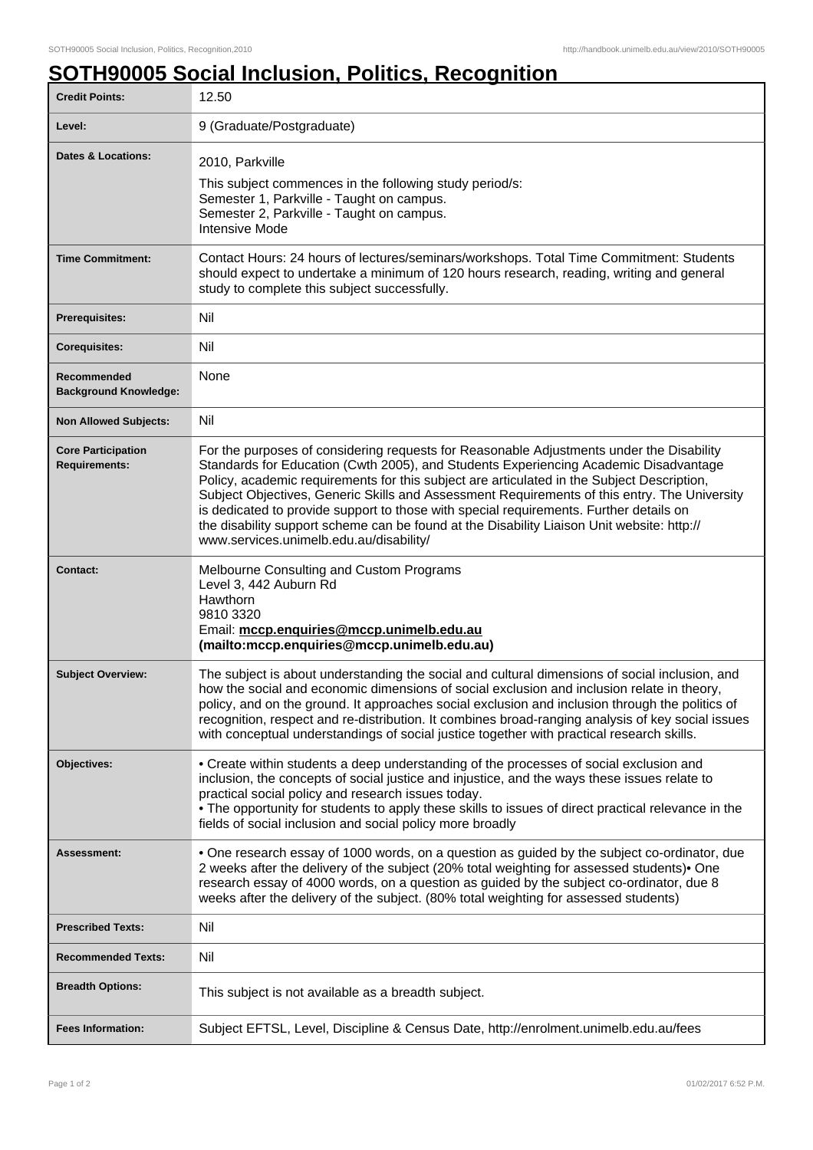## **SOTH90005 Social Inclusion, Politics, Recognition**

| <b>Credit Points:</b>                             | 12.50                                                                                                                                                                                                                                                                                                                                                                                                                                                                                                                                                                                                             |
|---------------------------------------------------|-------------------------------------------------------------------------------------------------------------------------------------------------------------------------------------------------------------------------------------------------------------------------------------------------------------------------------------------------------------------------------------------------------------------------------------------------------------------------------------------------------------------------------------------------------------------------------------------------------------------|
| Level:                                            | 9 (Graduate/Postgraduate)                                                                                                                                                                                                                                                                                                                                                                                                                                                                                                                                                                                         |
| Dates & Locations:                                | 2010, Parkville<br>This subject commences in the following study period/s:<br>Semester 1, Parkville - Taught on campus.<br>Semester 2, Parkville - Taught on campus.<br><b>Intensive Mode</b>                                                                                                                                                                                                                                                                                                                                                                                                                     |
| <b>Time Commitment:</b>                           | Contact Hours: 24 hours of lectures/seminars/workshops. Total Time Commitment: Students<br>should expect to undertake a minimum of 120 hours research, reading, writing and general<br>study to complete this subject successfully.                                                                                                                                                                                                                                                                                                                                                                               |
| <b>Prerequisites:</b>                             | Nil                                                                                                                                                                                                                                                                                                                                                                                                                                                                                                                                                                                                               |
| <b>Corequisites:</b>                              | Nil                                                                                                                                                                                                                                                                                                                                                                                                                                                                                                                                                                                                               |
| Recommended<br><b>Background Knowledge:</b>       | None                                                                                                                                                                                                                                                                                                                                                                                                                                                                                                                                                                                                              |
| <b>Non Allowed Subjects:</b>                      | Nil                                                                                                                                                                                                                                                                                                                                                                                                                                                                                                                                                                                                               |
| <b>Core Participation</b><br><b>Requirements:</b> | For the purposes of considering requests for Reasonable Adjustments under the Disability<br>Standards for Education (Cwth 2005), and Students Experiencing Academic Disadvantage<br>Policy, academic requirements for this subject are articulated in the Subject Description,<br>Subject Objectives, Generic Skills and Assessment Requirements of this entry. The University<br>is dedicated to provide support to those with special requirements. Further details on<br>the disability support scheme can be found at the Disability Liaison Unit website: http://<br>www.services.unimelb.edu.au/disability/ |
| <b>Contact:</b>                                   | Melbourne Consulting and Custom Programs<br>Level 3, 442 Auburn Rd<br>Hawthorn<br>9810 3320<br>Email: mccp.enquiries@mccp.unimelb.edu.au<br>(mailto:mccp.enquiries@mccp.unimelb.edu.au)                                                                                                                                                                                                                                                                                                                                                                                                                           |
| <b>Subject Overview:</b>                          | The subject is about understanding the social and cultural dimensions of social inclusion, and<br>how the social and economic dimensions of social exclusion and inclusion relate in theory,<br>policy, and on the ground. It approaches social exclusion and inclusion through the politics of<br>recognition, respect and re-distribution. It combines broad-ranging analysis of key social issues<br>with conceptual understandings of social justice together with practical research skills.                                                                                                                 |
| Objectives:                                       | • Create within students a deep understanding of the processes of social exclusion and<br>inclusion, the concepts of social justice and injustice, and the ways these issues relate to<br>practical social policy and research issues today.<br>. The opportunity for students to apply these skills to issues of direct practical relevance in the<br>fields of social inclusion and social policy more broadly                                                                                                                                                                                                  |
| Assessment:                                       | . One research essay of 1000 words, on a question as guided by the subject co-ordinator, due<br>2 weeks after the delivery of the subject (20% total weighting for assessed students) • One<br>research essay of 4000 words, on a question as guided by the subject co-ordinator, due 8<br>weeks after the delivery of the subject. (80% total weighting for assessed students)                                                                                                                                                                                                                                   |
| <b>Prescribed Texts:</b>                          | Nil                                                                                                                                                                                                                                                                                                                                                                                                                                                                                                                                                                                                               |
| <b>Recommended Texts:</b>                         | Nil                                                                                                                                                                                                                                                                                                                                                                                                                                                                                                                                                                                                               |
| <b>Breadth Options:</b>                           | This subject is not available as a breadth subject.                                                                                                                                                                                                                                                                                                                                                                                                                                                                                                                                                               |
| <b>Fees Information:</b>                          | Subject EFTSL, Level, Discipline & Census Date, http://enrolment.unimelb.edu.au/fees                                                                                                                                                                                                                                                                                                                                                                                                                                                                                                                              |